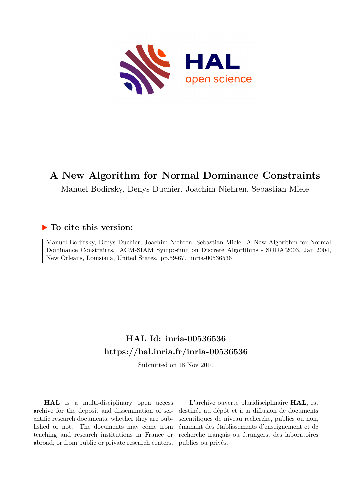

# **A New Algorithm for Normal Dominance Constraints**

Manuel Bodirsky, Denys Duchier, Joachim Niehren, Sebastian Miele

# **To cite this version:**

Manuel Bodirsky, Denys Duchier, Joachim Niehren, Sebastian Miele. A New Algorithm for Normal Dominance Constraints. ACM-SIAM Symposium on Discrete Algorithms - SODA'2003, Jan 2004, New Orleans, Louisiana, United States. pp.59-67. inria-00536536

# **HAL Id: inria-00536536 <https://hal.inria.fr/inria-00536536>**

Submitted on 18 Nov 2010

**HAL** is a multi-disciplinary open access archive for the deposit and dissemination of scientific research documents, whether they are published or not. The documents may come from teaching and research institutions in France or abroad, or from public or private research centers.

L'archive ouverte pluridisciplinaire **HAL**, est destinée au dépôt et à la diffusion de documents scientifiques de niveau recherche, publiés ou non, émanant des établissements d'enseignement et de recherche français ou étrangers, des laboratoires publics ou privés.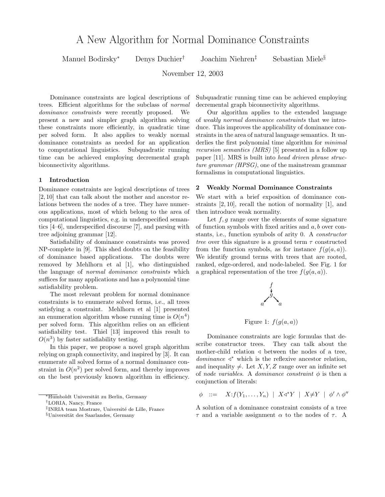Manuel Bodirsky<sup>∗</sup> Denys Duchier† Joachim Niehren‡ Sebastian Miele§

November 12, 2003

Dominance constraints are logical descriptions of trees. Efficient algorithms for the subclass of normal dominance constraints were recently proposed. We present a new and simpler graph algorithm solving these constraints more efficiently, in quadratic time per solved form. It also applies to weakly normal dominance constraints as needed for an application to computational linguistics. Subquadratic running time can be achieved employing decremental graph biconnectivity algorithms.

#### 1 Introduction

Dominance constraints are logical descriptions of trees [2, 10] that can talk about the mother and ancestor relations between the nodes of a tree. They have numerous applications, most of which belong to the area of computational linguistics, e.g. in underspecified semantics [4–6], underspecified discourse [7], and parsing with tree adjoining grammar [12].

Satisfiability of dominance constraints was proved NP-complete in [9]. This shed doubts on the feasibility of dominance based applications. The doubts were removed by Mehlhorn et al [1], who distinguished the language of normal dominance constraints which suffices for many applications and has a polynomial time satisfiability problem.

The most relevant problem for normal dominance constraints is to enumerate solved forms, i.e., all trees satisfying a constraint. Mehlhorn et al [1] presented an enumeration algorithm whose running time is  $O(n^4)$ per solved form. This algorithm relies on an efficient satisfiability test. Thiel [13] improved this result to  $O(n^3)$  by faster satisfiability testing.

In this paper, we propose a novel graph algorithm relying on graph connectivity, and inspired by [3]. It can enumerate all solved forms of a normal dominance constraint in  $O(n^2)$  per solved form, and thereby improves on the best previously known algorithm in efficiency. Subquadratic running time can be achieved employing decremental graph biconnectivity algorithms.

Our algorithm applies to the extended language of weakly normal dominance constraints that we introduce. This improves the applicability of dominance constraints in the area of natural language semantics. It underlies the first polynomial time algorithm for *minimal* recursion semantics (MRS) [5] presented in a follow up paper [11]. MRS is built into head driven phrase structure grammar (HPSG), one of the mainstream grammar formalisms in computational linguistics.

# 2 Weakly Normal Dominance Constraints

We start with a brief exposition of dominance constraints [2, 10], recall the notion of normality [1], and then introduce weak normality.

Let  $f, g$  range over the elements of some signature of function symbols with fixed arities and  $a, b$  over constants, i.e., function symbols of arity 0. A constructor tree over this signature is a ground term  $\tau$  constructed from the function symbols, as for instance  $f(q(a, a))$ . We identify ground terms with trees that are rooted, ranked, edge-ordered, and node-labeled. See Fig. 1 for a graphical representation of the tree  $f(g(a, a))$ .



Figure 1:  $f(g(a, a))$ 

Dominance constraints are logic formulas that describe constructor trees. They can talk about the mother-child relation  $\triangleleft$  between the nodes of a tree,  $dominance \, \triangleleft^*$  which is the reflexive ancestor relation, and inequality  $\neq$ . Let X, Y, Z range over an infinite set of node variables. A dominance constraint  $\phi$  is then a conjunction of literals:

$$
\phi \quad ::= \quad X : f(Y_1, \ldots, Y_n) \mid X \triangleleft^* Y \mid X \neq Y \mid \phi' \land \phi''
$$

A solution of a dominance constraint consists of a tree  $\tau$  and a variable assignment  $\alpha$  to the nodes of  $\tau$ . A

<sup>&</sup>lt;sup>∗</sup>Humboldt Universität zu Berlin, Germany

<sup>†</sup>LORIA, Nancy, France

<sup>‡</sup>INRIA team Mostrare, Université de Lille, France

 $§$ Universität des Saarlandes, Germany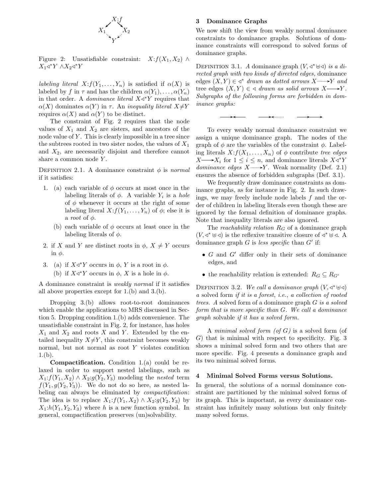

Figure 2: Unsatisfiable constraint:  $X: f(X_1, X_2) \wedge$  $X_1 \triangleleft^* Y \wedge X_2 \triangleleft^* Y$ 

*labeling literal*  $X: f(Y_1, \ldots, Y_n)$  is satisfied if  $\alpha(X)$  is labeled by f in  $\tau$  and has the children  $\alpha(Y_1), \ldots, \alpha(Y_n)$ in that order. A *dominance literal*  $X \triangleleft^* Y$  requires that  $\alpha(X)$  dominates  $\alpha(Y)$  in  $\tau$ . An *inequality literal*  $X \neq Y$ requires  $\alpha(X)$  and  $\alpha(Y)$  to be distinct.

The constraint of Fig. 2 requires that the node values of  $X_1$  and  $X_2$  are sisters, and ancestors of the node value of  $Y$ . This is clearly impossible in a tree since the subtrees rooted in two sister nodes, the values of  $X_1$ and  $X_2$ , are necessarily disjoint and therefore cannot share a common node Y.

DEFINITION 2.1. A dominance constraint  $\phi$  is normal if it satisfies:

- 1. (a) each variable of  $\phi$  occurs at most once in the labeling literals of  $\phi$ . A variable  $Y_i$  is a hole of  $\phi$  whenever it occurs at the right of some labeling literal  $X: f(Y_1, \ldots, Y_n)$  of  $\phi$ ; else it is a root of  $\phi$ .
	- (b) each variable of  $\phi$  occurs at least once in the labeling literals of  $\phi$ .
- 2. if X and Y are distinct roots in  $\phi$ ,  $X \neq Y$  occurs in  $φ$ .
- 3. (a) if  $X \triangleleft^* Y$  occurs in  $\phi$ , Y is a root in  $\phi$ .
	- (b) if  $X \triangleleft^* Y$  occurs in  $\phi$ , X is a hole in  $\phi$ .

A dominance constraint is weakly normal if it satisfies all above properties except for 1.(b) and 3.(b).

Dropping 3.(b) allows root-to-root dominances which enable the applications to MRS discussed in Section 5. Dropping condition 1.(b) adds convenience. The unsatisfiable constraint in Fig. 2, for instance, has holes  $X_1$  and  $X_2$  and roots X and Y. Extended by the entailed inequality  $X \neq Y$ , this constraint becomes weakly normal, but not normal as root  $Y$  violates condition 1.(b).

Compactification. Condition 1.(a) could be relaxed in order to support nested labelings, such as  $X_1: f(Y_1, X_2) \wedge X_2: g(Y_2, Y_3)$  modeling the nested term  $f(Y_1, g(Y_2, Y_3))$ . We do not do so here, as nested labeling can always be eliminated by *compactification*: The idea is to replace  $X_1: f(Y_1, X_2) \wedge X_2: g(Y_2, Y_3)$  by  $X_1: h(Y_1, Y_2, Y_3)$  where h is a new function symbol. In general, compactification preserves (un)solvability.

# 3 Dominance Graphs

We now shift the view from weakly normal dominance constraints to dominance graphs. Solutions of dominance constraints will correspond to solved forms of dominance graphs.

DEFINITION 3.1. A dominance graph  $(V, \triangleleft^* \boxplus \triangleleft)$  is a directed graph with two kinds of directed edges, dominance edges  $(X, Y) \in \text{Set}^*$  drawn as dotted arrows  $X$  with  $Y$  and tree edges  $(X, Y) \in \mathcal{A}$  drawn as solid arrows  $X \longrightarrow Y$ . Subgraphs of the following forms are forbidden in dominance graphs:

To every weakly normal dominance constraint we assign a unique dominance graph. The nodes of the graph of  $\phi$  are the variables of the constraint  $\phi$ . Labeling literals  $X: f(X_1, \ldots, X_n)$  of  $\phi$  contribute tree edges  $X \longrightarrow X_i$  for  $1 \leq i \leq n$ , and dominance literals  $X \triangleleft^* Y$ *dominance edges*  $X \rightarrow Y$ . Weak normality (Def. 2.1) ensures the absence of forbidden subgraphs (Def. 3.1).

We frequently draw dominance constraints as dominance graphs, as for instance in Fig. 2. In such drawings, we may freely include node labels f and the order of children in labeling literals even though these are ignored by the formal definition of dominance graphs. Note that inequality literals are also ignored.

The *reachability relation*  $R_G$  of a dominance graph  $(V, \lhd^* \rhd \lhd)$  is the reflexive transitive closure of  $\lhd^* \rhd \lhd$ . A dominance graph  $G$  is less specific than  $G'$  if:

- $G$  and  $G'$  differ only in their sets of dominance edges, and
- the reachability relation is extended:  $R_G \subseteq R_{G'}$

DEFINITION 3.2. We call a dominance graph  $(V, \triangleleft^* \boxplus \triangleleft)$ a solved form if it is a forest, i.e., a collection of rooted trees. A solved form of a dominance graph G is a solved form that is more specific than G. We call a dominance graph solvable if it has a solved form.

A minimal solved form  $($ of  $G$  $)$  is a solved form  $($ of G) that is minimal with respect to specificity. Fig. 3 shows a minimal solved form and two others that are more specific. Fig. 4 presents a dominance graph and its two minimal solved forms.

#### 4 Minimal Solved Forms versus Solutions.

In general, the solutions of a normal dominance constraint are partitioned by the minimal solved forms of its graph. This is important, as every dominance constraint has infinitely many solutions but only finitely many solved forms.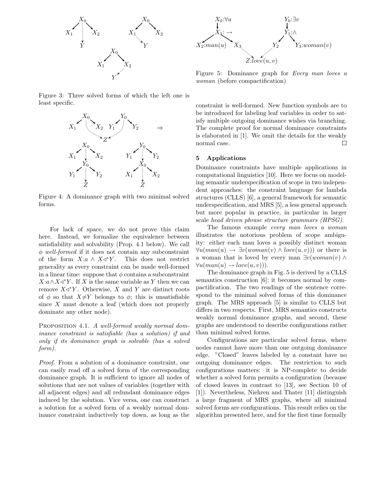



Figure 5: Dominance graph for Every man loves a woman (before compactification)

Figure 3: Three solved forms of which the left one is least specific.



Figure 4: A dominance graph with two minimal solved forms.

For lack of space, we do not prove this claim here. Instead, we formalize the equivalence between satisfiability and solvability (Prop. 4.1 below). We call  $\phi$  well-formed if it does not contain any subconstraint of the form  $X:a \wedge X\triangleleft^*Y$ . This does not restrict generality as every constraint can be made well-formed in a linear time: suppose that  $\phi$  contains a subconstraint  $X:a \wedge X \triangleleft^* Y$ . If X is the same variable as Y then we can remove  $X \triangleleft^* Y$ . Otherwise, X and Y are distinct roots of  $\phi$  so that  $X \neq Y$  belongs to  $\phi$ ; this is unsatisfiable since X must denote a leaf (which does not properly dominate any other node).

PROPOSITION 4.1. A well-formed weakly normal dominance constraint is satisfiable (has a solution) if and only if its dominance graph is solvable (has a solved form).

Proof. From a solution of a dominance constraint, one can easily read off a solved form of the corresponding dominance graph. It is sufficient to ignore all nodes of solutions that are not values of variables (together with all adjacent edges) and all redundant dominance edges induced by the solution. Vice versa, one can construct a solution for a solved form of a weakly normal dominance constraint inductively top down, as long as the

constraint is well-formed. New function symbols are to be introduced for labeling leaf variables in order to satisfy multiple outgoing dominance wishes via branching. The complete proof for normal dominance constraints is elaborated in [1]. We omit the details for the weakly normal case. □

## 5 Applications

Dominance constraints have multiple applications in computational linguistics [10]. Here we focus on modeling semantic underspecification of scope in two independent approaches: the constraint language for lambda structures (CLLS) [6], a general framework for semantic underspecification, and MRS [5], a less general approach but more popular in practice, in particular in larger scale head driven phrase structure grammars (HPSG).

The famous example every man loves a woman illustrates the notorious problem of scope ambiguity: either each man loves a possibly distinct woman  $\forall u (man(u) \rightarrow \exists v (woman(v) \land love(u, v)))$  or there is a woman that is loved by every man  $\exists v(woman(v) \land$  $\forall u (man(u) \rightarrow love(u, v))$ .

The dominance graph in Fig. 5 is derived by a CLLS semantics construction [6]; it becomes normal by compactification. The two readings of the sentence correspond to the minimal solved forms of this dominance graph. The MRS approach [5] is similar to CLLS but differs in two respects. First, MRS semantics constructs weakly normal dominance graphs, and second, these graphs are understood to describe configurations rather than minimal solved forms.

Configurations are particular solved forms, where nodes cannot have more than one outgoing dominance edge. "Closed" leaves labeled by a constant have no outgoing dominance edges. The restriction to such configurations matters: it is NP-complete to decide whether a solved form permits a configuration (because of closed leaves in contrast to [13], see Section 10 of [1]). Nevertheless, Niehren and Thater [11] distinguish a large fragment of MRS graphs, where all minimal solved forms are configurations. This result relies on the algorithm presented here, and for the first time formally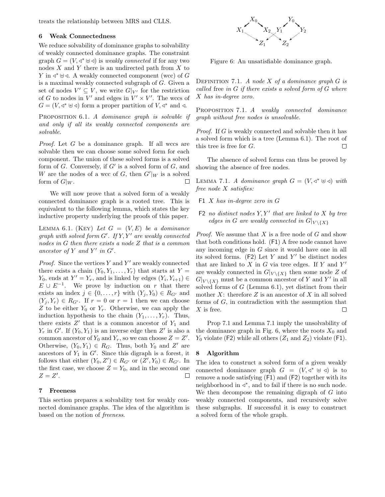treats the relationship between MRS and CLLS.

#### 6 Weak Connectedness

We reduce solvability of dominance graphs to solvability of weakly connected dominance graphs. The constraint graph  $G = (V, \triangleleft^* \oplus \triangleleft)$  is weakly connected if for any two nodes  $X$  and  $Y$  there is an undirected path from  $X$  to *Y* in  $\triangleleft$ <sup>\*</sup> ⊎  $\triangleleft$ . A weakly connected component (wcc) of G is a maximal weakly connected subgraph of G. Given a set of nodes  $V' \subseteq V$ , we write  $G|_{V'}$  for the restriction of G to nodes in  $V'$  and edges in  $V' \times V'$ . The wccs of  $G = (V, \triangleleft^* \boxplus \triangleleft)$  form a proper partition of  $V, \triangleleft^*$  and  $\triangleleft$ .

PROPOSITION 6.1. A dominance graph is solvable if and only if all its weakly connected components are solvable.

Proof. Let G be a dominance graph. If all wccs are solvable then we can choose some solved form for each component. The union of these solved forms is a solved form of  $G$ . Conversely, if  $G'$  is a solved form of  $G$ , and W are the nodes of a wcc of G, then  $G'|_W$  is a solved form of  $G|_W$ . □

We will now prove that a solved form of a weakly connected dominance graph is a rooted tree. This is equivalent to the following lemma, which states the key inductive property underlying the proofs of this paper.

LEMMA 6.1. (KEY) Let  $G = (V, E)$  be a dominance  $graph\ with\ solved\ form\ G'.\ If\ Y,Y'\ are\ weakly\ connected$ nodes in G then there exists a node Z that is a common ancestor of Y and Y' in  $G'$ .

*Proof.* Since the vertices  $Y$  and  $Y'$  are weakly connected there exists a chain  $(Y_0, Y_1, \ldots, Y_r)$  that starts at Y =  $Y_0$ , ends at  $Y' = Y_r$ , and is linked by edges  $(Y_i, Y_{i+1}) \in$  $E \cup E^{-1}$ . We prove by induction on r that there exists an index  $j \in \{0, \ldots, r\}$  with  $(Y_j, Y_0) \in R_{G'}$  and  $(Y_i, Y_r) \in R_{G'}$ . If  $r = 0$  or  $r = 1$  then we can choose Z to be either  $Y_0$  or  $Y_r$ . Otherwise, we can apply the induction hypothesis to the chain  $(Y_1, \ldots, Y_r)$ . Thus, there exists  $Z'$  that is a common ancestor of  $Y_1$  and  $Y_r$  in G'. If  $(Y_0, Y_1)$  is an inverse edge then Z' is also a common ancestor of  $Y_0$  and  $Y_r$ , so we can choose  $Z = Z'$ . Otherwise,  $(Y_0, Y_1) \in R_G$ . Thus, both  $Y_0$  and  $Z'$  are ancestors of  $Y_1$  in  $G'$ . Since this digraph is a forest, it follows that either  $(Y_0, Z') \in R_{G'}$  or  $(Z', Y_0) \in R_{G'}$ . In the first case, we choose  $Z = Y_0$ , and in the second one  $Z=Z'$ .  $\Box$ 

### 7 Freeness

This section prepares a solvability test for weakly connected dominance graphs. The idea of the algorithm is based on the notion of freeness.



Figure 6: An unsatisfiable dominance graph.

DEFINITION 7.1. A node  $X$  of a dominance graph  $G$  is called free in  $G$  if there exists a solved form of  $G$  where X has in-degree zero.

PROPOSITION 7.1. A weakly connected dominance graph without free nodes is unsolvable.

Proof. If G is weakly connected and solvable then it has a solved form which is a tree (Lemma 6.1). The root of this tree is free for G. П

The absence of solved forms can thus be proved by showing the absence of free nodes.

LEMMA 7.1. A dominance graph  $G = (V, \triangleleft^* \boxplus \triangleleft)$  with free node X satisfies:

- F1 X has in-degree zero in G
- $F2$  no distinct nodes  $Y, Y'$  that are linked to X by tree edges in G are weakly connected in  $G|_{V \setminus \{X\}}$

*Proof.* We assume that  $X$  is a free node of  $G$  and show that both conditions hold. (F1) A free node cannot have any incoming edge in G since it would have one in all its solved forms.  $(F2)$  Let Y and Y' be distinct nodes that are linked to  $X$  in  $G$  via tree edges. If  $Y$  and  $Y'$ are weakly connected in  $G|_{V \setminus \{X\}}$  then some node Z of  $G|_{V \setminus \{X\}}$  must be a common ancestor of Y and Y' in all solved forms of  $G$  (Lemma 6.1), yet distinct from their mother  $X$ : therefore  $Z$  is an ancestor of  $X$  in all solved forms of G, in contradiction with the assumption that  $X$  is free. П

Prop 7.1 and Lemma 7.1 imply the unsolvability of the dominance graph in Fig. 6, where the roots  $X_0$  and  $Y_0$  violate (F2) while all others  $(Z_1 \text{ and } Z_2)$  violate (F1).

#### 8 Algorithm

The idea to construct a solved form of a given weakly connected dominance graph  $G = (V, \triangleleft^* \oplus \triangleleft)$  is to remove a node satisfying (F1) and (F2) together with its neighborhood in  $\triangleleft^*$ , and to fail if there is no such node. We then decompose the remaining digraph of  $G$  into weakly connected components, and recursively solve these subgraphs. If successful it is easy to construct a solved form of the whole graph.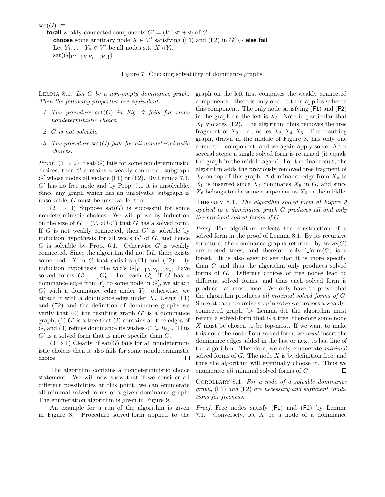$\text{sat}(G) \equiv$ 

**forall** weakly connected components  $G' = (V', \triangleleft^* \boxplus \triangleleft)$  of G: choose some arbitrary node  $X \in V'$  satisfying (F1) and (F2) in  $G'|_{V'}$  else fail Let  $Y_1, \ldots, Y_n \in V'$  be all nodes s.t.  $X \triangleleft Y_i$ .  $sat(G|_{V'-\{X,Y_1,...,Y_n\}})$ 

Figure 7: Checking solvability of dominance graphs.

LEMMA 8.1. Let  $G$  be a non-empty dominance graph. Then the following properties are equivalent:

- 1. The procedure  $\text{sat}(G)$  in Fig. 7 fails for some nondeterministic choice.
- 2. G is not solvable.
- 3. The procedure  $sat(G)$  fails for all nondeterministic choices.

*Proof.*  $(1 \Rightarrow 2)$  If sat $(G)$  fails for some nondeterministic choices, then G contains a weakly connected subgraph  $G'$  whose nodes all violate (F1) or (F2). By Lemma 7.1,  $G'$  has no free node and by Prop. 7.1 it is unsolvable. Since any graph which has an unsolvable subgraph is unsolvable, G must be unsolvable, too.

 $(2 \Rightarrow 3)$  Suppose sat $(G)$  is successful for some nondeterministic choices. We will prove by induction on the size of  $G = (V, \triangleleft \oplus \triangleleft^*)$  that G has a solved form. If  $G$  is not weakly connected, then  $G'$  is solvable by induction hypothesis for all wcc's  $G'$  of  $G$ , and hence  $G$  is solvable by Prop. 6.1. Otherwise  $G$  is weakly connected. Since the algorithm did not fail, there exists some node X in G that satisfies  $(F1)$  and  $(F2)$ . By induction hypothesis, the wcc's  $G|_{V-\{X,Y_1,...,Y_n\}}$  have solved forms  $G'_1, \ldots, G'_k$ . For each  $G'_i$ , if G has a dominance edge from  $Y_j$  to some node in  $G'_i$ , we attach  $G'_{i}$  with a dominance edge under  $Y_{j}$ ; otherwise, we attach it with a dominance edge under  $X$ . Using  $(F1)$ and (F2) and the definition of dominance graphs we verify that  $(0)$  the resulting graph  $G'$  is a dominance graph,  $(1)$  G' is a tree that  $(2)$  contains all tree edges of G, and (3) refines dominance its wishes  $\triangleleft^* \subseteq R_{G'}$ . Thus  $G'$  is a solved form that is more specific than  $G$ .

 $(3 \Rightarrow 1)$  Clearly, if sat(G) fails for all nondeterministic choices then it also fails for some nondeterministic choice.  $\Box$ 

The algorithm contains a nondeterministic choice statement. We will now show that if we consider all different possibilities at this point, we can enumerate all minimal solved forms of a given dominance graph. The enumeration algorithm is given in Figure 9.

An example for a run of the algorithm is given in Figure 8. Procedure solved form applied to the graph on the left first computes the weakly connected components - there is only one. It then applies solve to this component. The only node satisfying (F1) and (F2) in the graph on the left is  $X_3$ . Note in particular that  $X_0$  violates (F2). The algorithm thus removes the tree fragment of  $X_3$ , i.e., nodes  $X_3, X_4, X_5$ . The resulting graph, drawn in the middle of Figure 8, has only one connected component, and we again apply solve. After several steps, a single solved form is returned (it equals the graph in the middle again). For the final result, the algorithm adds the previously removed tree fragment of  $X_0$  on top of this graph. A dominance edge from  $X_4$  to  $X_0$  is inserted since  $X_4$  dominates  $X_6$  in  $G$ , and since  $X_6$  belongs to the same component as  $X_0$  in the middle.

THEOREM 8.1. The algorithm solved form of Figure  $9$ applied to a dominance graph G produces all and only the minimal solved-forms of G.

Proof. The algorithm reflects the construction of a solved form in the proof of Lemma 8.1. By its recursive structure, the dominance graphs returned by  $\text{solve}(G)$ are rooted trees, and therefore solved form $(G)$  is a forest. It is also easy to see that it is more specific than G and thus the algorithm only produces solved forms of G. Different choices of free nodes lead to different solved forms, and thus each solved form is produced at most once. We only have to prove that the algorithm produces all minimal solved forms of G. Since at each recursive step in solve we process a weaklyconnected graph, by Lemma 6.1 the algorithm must return a solved-form that is a tree; therefore some node X must be chosen to be top-most. If we want to make this node the root of our solved form, we must insert the dominance edges added in the last or next to last line of the algorithm. Therefore, we only enumerate minimal solved forms of  $G$ . The node  $X$  is by definition free, and thus the algorithm will eventually choose it. Thus we enumerate all minimal solved forms of G.  $\Box$ 

Corollary 8.1. For a node of a solvable dominance graph,  $(F1)$  and  $(F2)$  are necessary and sufficient conditions for freeness.

Proof. Free nodes satisfy (F1) and (F2) by Lemma 7.1. Conversely, let X be a node of a dominance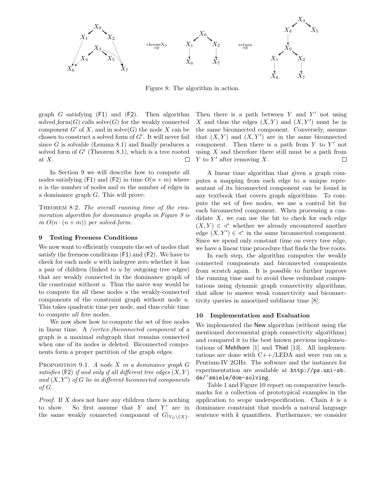

Figure 8: The algorithm in action.

graph  $G$  satisfying  $(F1)$  and  $(F2)$ . Then algorithm solved form  $(G)$  calls solve  $(G)$  for the weakly connected component  $G'$  of X, and in solve(G) the node X can be chosen to construct a solved form of  $G'$ . It will never fail since  $G$  is solvable (Lemma 8.1) and finally produces a solved form of  $G'$  (Theorem 8.1), which is a tree rooted at X.  $\Box$ 

In Section 9 we will describe how to compute all nodes satisfying (F1) and (F2) in time  $O(n+m)$  where  $n$  is the number of nodes and  $m$  the number of edges in a dominance graph G. This will prove:

THEOREM 8.2. The overall running time of the enumeration algorithm for dominance graphs in Figure 9 is in  $O(n \cdot (n+m))$  per solved-form.

#### 9 Testing Freeness Conditions

We now want to efficiently compute the set of nodes that satisfy the freeness conditions (F1) and (F2). We have to check for each node  $u$  with indegree zero whether it has a pair of children (linked to  $u$  by outgoing tree edges) that are weakly connected in the dominance graph of the constraint without  $u$ . Thus the naive way would be to compute for all these nodes  $u$  the weakly-connected components of the constraint graph without node u. This takes quadratic time per node, and thus cubic time to compute all free nodes.

We now show how to compute the set of free nodes in linear time. A (vertex-)biconnected component of a graph is a maximal subgraph that remains connected when one of its nodes is deleted. Biconnected components form a proper partition of the graph edges.

PROPOSITION 9.1. A node  $X$  in a dominance graph  $G$ satisfies  $(F2)$  if and only if all different tree edges  $(X, Y)$ and  $(X, Y')$  of G lie in different biconnected components of G.

*Proof.* If  $X$  does not have any children there is nothing to show. So first assume that  $Y$  and  $Y'$  are in the same weakly connected component of  $G|_{V_G\setminus\{X\}}$ .

Then there is a path between  $Y$  and  $Y'$  not using X and thus the edges  $(X, Y)$  and  $(X, Y')$  must be in the same biconnected component. Conversely, assume that  $(X, Y)$  and  $(X, Y')$  are in the same biconnected component. Then there is a path from  $Y$  to  $Y'$  not using  $X$  and therefore there still must be a path from Y to Y' after removing  $X$ .  $\Box$ 

A linear time algorithm that given a graph computes a mapping from each edge to a unique representant of its biconnected component can be found in any textbook that covers graph algorithms. To compute the set of free nodes, we use a control bit for each biconnected component. When processing a candidate  $X$ , we can use the bit to check for each edge  $(X, Y) \in \mathcal{A}^*$  whether we already encountered another edge  $(X, Y') \in \text{A}^*$  in the same biconnected component. Since we spend only constant time on every tree edge, we have a linear time procedure that finds the free roots.

In each step, the algorithm computes the weakly connected components and biconnected components from scratch again. It is possible to further improve the running time and to avoid these redundant computations using dynamic graph connectivity algorithms, that allow to answer weak connectivity and biconnectivity queries in amortized sublinear time [8].

#### 10 Implementation and Evaluation

We implemented the New algorithm (without using the mentioned decremental graph connectivity algorithms) and compared it to the best known previous implementations of Mehlhorn [1] and Thiel [13]. All implementations are done with  $C++/LEDA$  and were run on a Pentium-IV 2GHz. The software and the instances for experimentation are available at http://ps.uni-sb. de/~smiele/dom-solving.

Table 1 and Figure 10 report on comparative benchmarks for a collection of prototypical examples in the application to scope underspecification. Chain  $k$  is a dominance constraint that models a natural language sentence with  $k$  quantifiers. Furthermore, we consider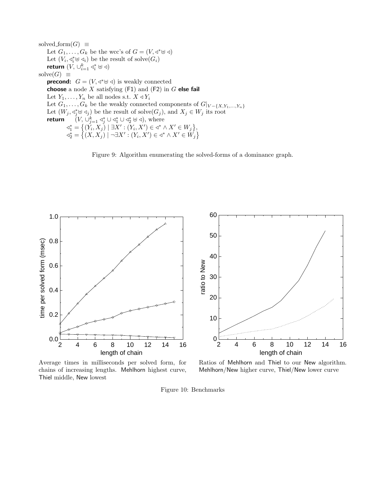solved form $(G) \equiv$ Let  $G_1, \ldots, G_k$  be the wcc's of  $G = (V, \triangleleft^* \cup \triangleleft)$ Let  $(V_i, \triangleleft_i^* \uplus \triangleleft_i)$  be the result of solve $(G_i)$ return  $(V, \cup_{i=1}^k \triangleleft_{i}^* \boxplus \triangleleft)$ solve $(G) \equiv$ **precond:**  $G = (V, \triangleleft^* \oplus \triangleleft)$  is weakly connected choose a node  $X$  satisfying (F1) and (F2) in  $G$  else fail Let  $Y_1, \ldots, Y_n$  be all nodes s.t.  $X \triangleleft Y_i$ Let  $G_1, \ldots, G_k$  be the weakly connected components of  $G|_{V-\{X, Y_1, \ldots, Y_n\}}$ Let  $(W_j, \triangleleft_j^* \oplus \triangleleft_j)$  be the result of solve $(G_j)$ , and  $X_j \in W_j$  its root return  $(V, \cup_{j=1}^k \triangleleft_j^* \cup \triangleleft_1^* \cup \triangleleft_2^* \boxplus \triangleleft),$  where  $\triangleleft_1^* = \big\{ (\check{Y}_i, X_j) \mid \exists X' : (Y_i, X') \in \triangleleft^* \wedge X' \in W_j \big\},\$  $\triangleleft_2^* = \big\{ (X,X_j) \mid \neg \exists X' : (Y_i,X') \in \triangleleft^* \wedge X' \in W_j \big\}$ 



60



50 40 ratio to New ratio to New 30 20 10  $0\frac{L}{2}$ 2 4 6 8 10 12 14 16 length of chain

Average times in milliseconds per solved form, for chains of increasing lengths. Mehlhorn highest curve, Thiel middle, New lowest

Ratios of Mehlhorn and Thiel to our New algorithm. Mehlhorn/New higher curve, Thiel/New lower curve

Figure 10: Benchmarks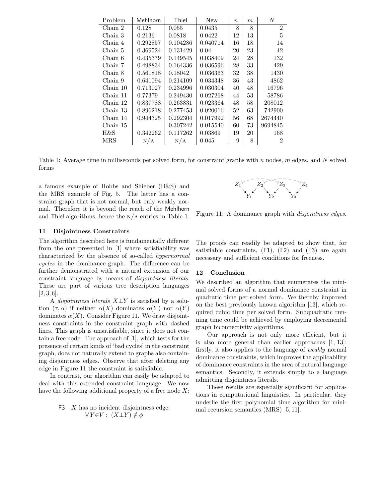| Problem  | Mehlhorn | Thiel    | <b>New</b> | $\boldsymbol{n}$ | m  | $\overline{N}$ |
|----------|----------|----------|------------|------------------|----|----------------|
| Chain 2  | 0.128    | 0.055    | 0.0435     | 8                | 8  | $\overline{2}$ |
| Chain 3  | 0.2136   | 0.0818   | 0.0422     | 12               | 13 | 5              |
| Chain 4  | 0.292857 | 0.104286 | 0.040714   | 16               | 18 | 14             |
| Chain 5  | 0.369524 | 0.131429 | 0.04       | 20               | 23 | 42             |
| Chain 6  | 0.435379 | 0.149545 | 0.038409   | 24               | 28 | 132            |
| Chain 7  | 0.498834 | 0.164336 | 0.036596   | 28               | 33 | 429            |
| Chain 8  | 0.561818 | 0.18042  | 0.036363   | 32               | 38 | 1430           |
| Chain 9  | 0.641094 | 0.214109 | 0.034348   | 36               | 43 | 4862           |
| Chain 10 | 0.713027 | 0.234996 | 0.030304   | 40               | 48 | 16796          |
| Chain 11 | 0.77379  | 0.249430 | 0.027268   | 44               | 53 | 58786          |
| Chain 12 | 0.837788 | 0.263831 | 0.023364   | 48               | 58 | 208012         |
| Chain 13 | 0.896218 | 0.277453 | 0.020016   | 52               | 63 | 742900         |
| Chain 14 | 0.944325 | 0.292304 | 0.017992   | 56               | 68 | 2674440        |
| Chain 15 |          | 0.307242 | 0.015540   | 60               | 73 | 9694845        |
| H&S      | 0.342262 | 0.117262 | 0.03869    | 19               | 20 | 168            |
| MRS      | N/A      | N/A      | 0.045      | 9                | 8  | 2              |

Table 1: Average time in milliseconds per solved form, for constraint graphs with n nodes, m edges, and N solved forms

a famous example of Hobbs and Shieber (H&S) and the MRS example of Fig. 5. The latter has a constraint graph that is not normal, but only weakly normal. Therefore it is beyond the reach of the Mehlhorn and Thiel algorithms, hence the  $N/A$  entries in Table 1.



Figure 11: A dominance graph with *disjointness edges*.

# 11 Disjointness Constraints

The algorithm described here is fundamentally different from the one presented in [1] where satisfiability was characterized by the absence of so-called hypernormal cycles in the dominance graph. The difference can be further demonstrated with a natural extension of our constraint language by means of disjointness literals. These are part of various tree description languages  $[2, 3, 6].$ 

A disjointness literals  $X \perp Y$  is satisfied by a solution  $(\tau, \alpha)$  if neither  $\alpha(X)$  dominates  $\alpha(Y)$  nor  $\alpha(Y)$ dominates  $\alpha(X)$ . Consider Figure 11. We draw disjointness constraints in the constraint graph with dashed lines. This graph is unsatisfiable, since it does not contain a free node. The approach of [1], which tests for the presence of certain kinds of 'bad cycles' in the constraint graph, does not naturally extend to graphs also containing disjointness edges. Observe that after deleting any edge in Figure 11 the constraint is satisfiable.

In contrast, our algorithm can easily be adapted to deal with this extended constraint language. We now have the following additional property of a free node  $X$ :

F3 X has no incident disjointness edge:  
\n
$$
\forall Y \in V : (X \perp Y) \notin \phi
$$

The proofs can readily be adapted to show that, for satisfiable constraints, (F1), (F2) and (F3) are again necessary and sufficient conditions for freeness.

# 12 Conclusion

We described an algorithm that enumerates the minimal solved forms of a normal dominance constraint in quadratic time per solved form. We thereby improved on the best previously known algorithm [13], which required cubic time per solved form. Subquadratic running time could be achieved by employing decremental graph biconnectivity algorithms.

Our approach is not only more efficient, but it is also more general than earlier approaches [1, 13]: firstly, it also applies to the language of weakly normal dominance constraints, which improves the applicability of dominance constraints in the area of natural language semantics. Secondly, it extends simply to a language admitting disjointness literals.

These results are especially significant for applications in computational linguistics. In particular, they underlie the first polynomial time algorithm for minimal recursion semantics (MRS) [5, 11].